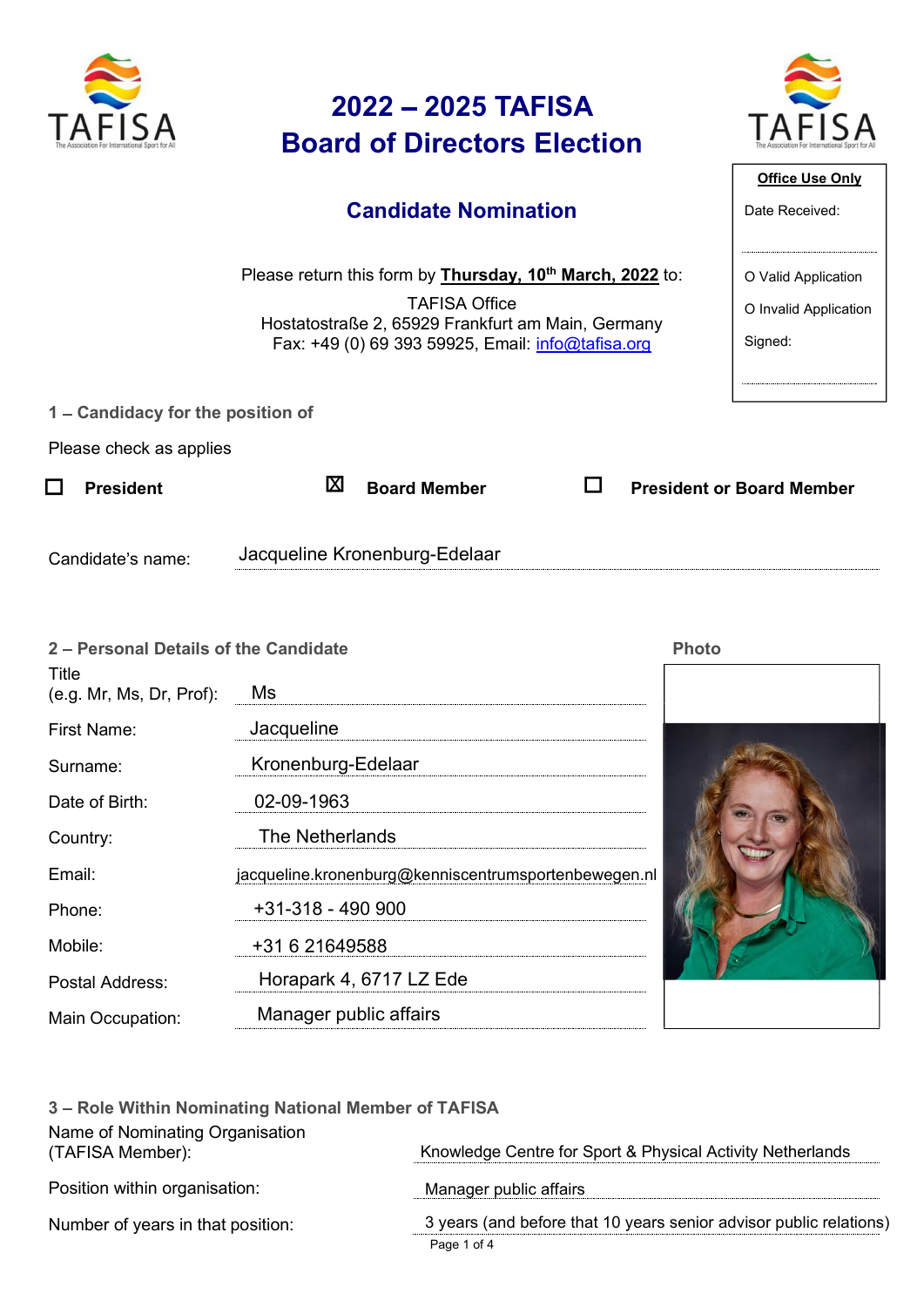| The Association For International Sport for Al |  |
|------------------------------------------------|--|

### 2022 – 2025 TAFISA<br>
TAFISA<br>
Candidate Nomination 2022 – 2025 TAFISA<br>Board of Directors Election<br>Candidate Nomination 2022 - 2025 TAFISA<br>
Board of Directors Election<br>
Candidate Nomination<br>
Please return this form by Thursday, 10<sup>th</sup> March, 2022 to:<br>
TAFISA Office<br>
Please return this form by <u>Thursday, 10<sup>th</sup> March, 2022</u> to:<br>
TAFISA Offi



### Candidate Nomination

| $\sum_{i=1}^{N}$                  | 2022 - 2025 TAFISA<br><b>Board of Directors Election</b>                                                                                                                                                |                                                         |
|-----------------------------------|---------------------------------------------------------------------------------------------------------------------------------------------------------------------------------------------------------|---------------------------------------------------------|
|                                   | <b>Candidate Nomination</b>                                                                                                                                                                             | <b>Office Use Only</b><br>Date Received:                |
|                                   | Please return this form by Thursday, 10 <sup>th</sup> March, 2022 to:<br><b>TAFISA Office</b><br>Hostatostraße 2, 65929 Frankfurt am Main, Germany<br>Fax: +49 (0) 69 393 59925, Email: info@tafisa.org | O Valid Application<br>O Invalid Application<br>Signed: |
| 1 – Candidacy for the position of |                                                                                                                                                                                                         |                                                         |
| Please check as applies           |                                                                                                                                                                                                         |                                                         |
| $\Box$<br><b>President</b>        | ⊠<br>l 1<br><b>Board Member</b>                                                                                                                                                                         | <b>President or Board Member</b>                        |
| Candidate's name:                 | Jacqueline Kronenburg-Edelaar                                                                                                                                                                           |                                                         |

| Please check as applies<br>図<br>$\Box$<br><b>President</b><br>Jacqueline Kronenburg-Edelaar<br>Candidate's name:<br>2 - Personal Details of the Candidate<br>Title<br>(e.g. Mr, Ms, Dr, Prof):<br>Ms<br>Jacqueline<br><b>First Name:</b><br>Kronenburg-Edelaar<br>Surname:<br>02-09-1963<br>Date of Birth: | Hostatostraße 2, 65929 Frankfurt am Main, Germany<br>Fax: +49 (0) 69 393 59925, Email: info@tafisa.org |              | O Invalid Application<br>Signed: |
|------------------------------------------------------------------------------------------------------------------------------------------------------------------------------------------------------------------------------------------------------------------------------------------------------------|--------------------------------------------------------------------------------------------------------|--------------|----------------------------------|
|                                                                                                                                                                                                                                                                                                            |                                                                                                        |              |                                  |
|                                                                                                                                                                                                                                                                                                            | □<br><b>Board Member</b>                                                                               |              | <b>President or Board Member</b> |
|                                                                                                                                                                                                                                                                                                            |                                                                                                        |              |                                  |
|                                                                                                                                                                                                                                                                                                            |                                                                                                        | <b>Photo</b> |                                  |
|                                                                                                                                                                                                                                                                                                            |                                                                                                        |              |                                  |
|                                                                                                                                                                                                                                                                                                            |                                                                                                        |              |                                  |
|                                                                                                                                                                                                                                                                                                            |                                                                                                        |              |                                  |
|                                                                                                                                                                                                                                                                                                            |                                                                                                        |              |                                  |
| The Netherlands<br>Country:                                                                                                                                                                                                                                                                                |                                                                                                        |              |                                  |
| Email:                                                                                                                                                                                                                                                                                                     | jacqueline.kronenburg@kenniscentrumsportenbewegen.nl                                                   |              |                                  |
| $+31-318 - 490900$<br>Phone:                                                                                                                                                                                                                                                                               |                                                                                                        |              |                                  |
| Mobile:<br>+31 6 21649588                                                                                                                                                                                                                                                                                  |                                                                                                        |              |                                  |
| Horapark 4, 6717 LZ Ede<br>Postal Address:                                                                                                                                                                                                                                                                 |                                                                                                        |              |                                  |
| Manager public affairs<br>Main Occupation:                                                                                                                                                                                                                                                                 |                                                                                                        |              |                                  |
| 3 - Role Within Nominating National Member of TAFISA<br>Name of Nominating Organisation<br>(TAFISA Member):                                                                                                                                                                                                | Knowledge Centre for Sport & Physical Activity Netherlands                                             |              |                                  |
| Position within organisation:                                                                                                                                                                                                                                                                              | Manager public affairs                                                                                 |              |                                  |
| Number of years in that position:                                                                                                                                                                                                                                                                          | 3 years (and before that 10 years senior advisor public relations)<br>Page 1 of 4                      |              |                                  |



| Email:                                              |                                                      | jacqueline.kronenburg@kenniscentrumsportenbewegen.nl                              |  |
|-----------------------------------------------------|------------------------------------------------------|-----------------------------------------------------------------------------------|--|
| Phone:                                              | +31-318 - 490 900                                    |                                                                                   |  |
| Mobile:                                             | +31 6 21649588                                       |                                                                                   |  |
| Postal Address:                                     | Horapark 4, 6717 LZ Ede                              |                                                                                   |  |
| Manager public affairs<br>Main Occupation:          |                                                      |                                                                                   |  |
|                                                     | 3 - Role Within Nominating National Member of TAFISA |                                                                                   |  |
| Name of Nominating Organisation<br>(TAFISA Member): |                                                      | Knowledge Centre for Sport & Physical Activity Netherlands                        |  |
| Position within organisation:                       |                                                      | Manager public affairs                                                            |  |
| Number of years in that position:                   |                                                      | 3 years (and before that 10 years senior advisor public relations)<br>Page 1 of 4 |  |
|                                                     |                                                      |                                                                                   |  |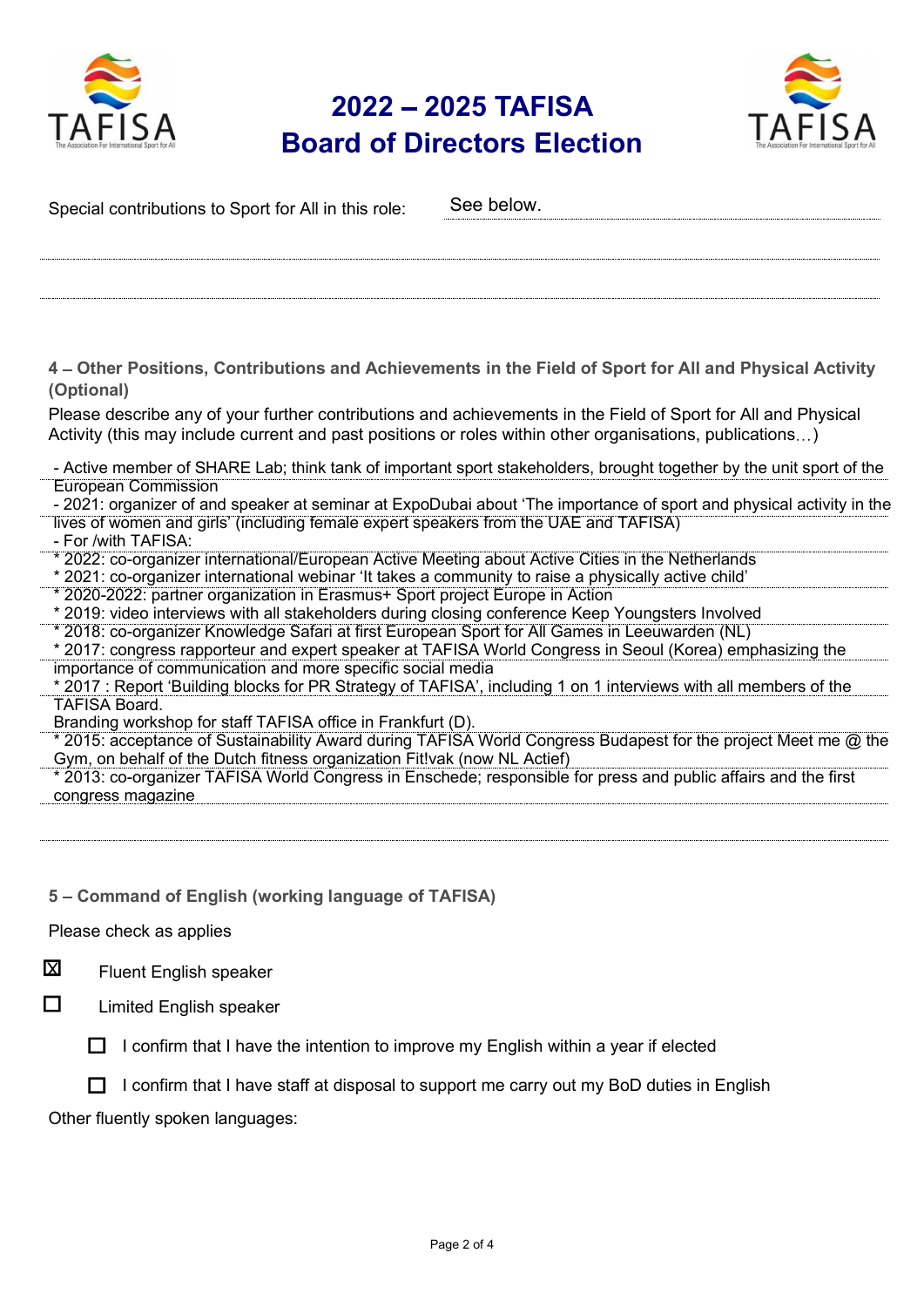

## 2022 – 2025 TAFISA<br>
and of Directors Election<br>
TAFISA **EXECUTE 2022 - 2023 IAFISA**<br>Board of Directors Election



| Special contributions to Sport for All in this role:                                                                                                                                                      | See below.                                                                                                           |
|-----------------------------------------------------------------------------------------------------------------------------------------------------------------------------------------------------------|----------------------------------------------------------------------------------------------------------------------|
|                                                                                                                                                                                                           |                                                                                                                      |
|                                                                                                                                                                                                           |                                                                                                                      |
| (Optional)                                                                                                                                                                                                | 4 – Other Positions, Contributions and Achievements in the Field of Sport for All and Physical Activity              |
| Activity (this may include current and past positions or roles within other organisations, publications)                                                                                                  | Please describe any of your further contributions and achievements in the Field of Sport for All and Physical        |
| <b>European Commission</b>                                                                                                                                                                                | - Active member of SHARE Lab; think tank of important sport stakeholders, brought together by the unit sport of the  |
| lives of women and girls' (including female expert speakers from the UAE and TAFISA)<br>- For /with TAFISA:                                                                                               | - 2021: organizer of and speaker at seminar at ExpoDubai about 'The importance of sport and physical activity in the |
| * 2022: co-organizer international/European Active Meeting about Active Cities in the Netherlands<br>* 2021: co-organizer international webinar 'It takes a community to raise a physically active child' |                                                                                                                      |
| * 2020-2022: partner organization in Erasmus+ Sport project Europe in Action<br>* 2019: video interviews with all stakeholders during closing conference Keep Youngsters Involved                         |                                                                                                                      |
| * 2018: co-organizer Knowledge Safari at first European Sport for All Games in Leeuwarden (NL)                                                                                                            | * 2017: congress rapporteur and expert speaker at TAFISA World Congress in Seoul (Korea) emphasizing the             |
| importance of communication and more specific social media<br><b>TAFISA Board.</b>                                                                                                                        | * 2017: Report 'Building blocks for PR Strategy of TAFISA', including 1 on 1 interviews with all members of the      |
| Branding workshop for staff TAFISA office in Frankfurt (D).                                                                                                                                               | * 2015: acceptance of Sustainability Award during TAFISA World Congress Budapest for the project Meet me @ the       |
| Gym, on behalf of the Dutch fitness organization Fit!vak (now NL Actief)                                                                                                                                  | * 2013: co-organizer TAFISA World Congress in Enschede; responsible for press and public affairs and the first       |
| congress magazine                                                                                                                                                                                         |                                                                                                                      |
|                                                                                                                                                                                                           |                                                                                                                      |
| 5 - Command of English (working language of TAFISA)                                                                                                                                                       |                                                                                                                      |
| Please check as applies                                                                                                                                                                                   |                                                                                                                      |
| 図<br>Fluent English speaker                                                                                                                                                                               |                                                                                                                      |
| □<br><b>Limited English speaker</b>                                                                                                                                                                       |                                                                                                                      |
| confirm that I have the intention to improve my English within a year if elected                                                                                                                          |                                                                                                                      |
|                                                                                                                                                                                                           | I confirm that I have staff at disposal to support me carry out my BoD duties in English                             |
| Other fluently spoken languages:                                                                                                                                                                          |                                                                                                                      |
|                                                                                                                                                                                                           |                                                                                                                      |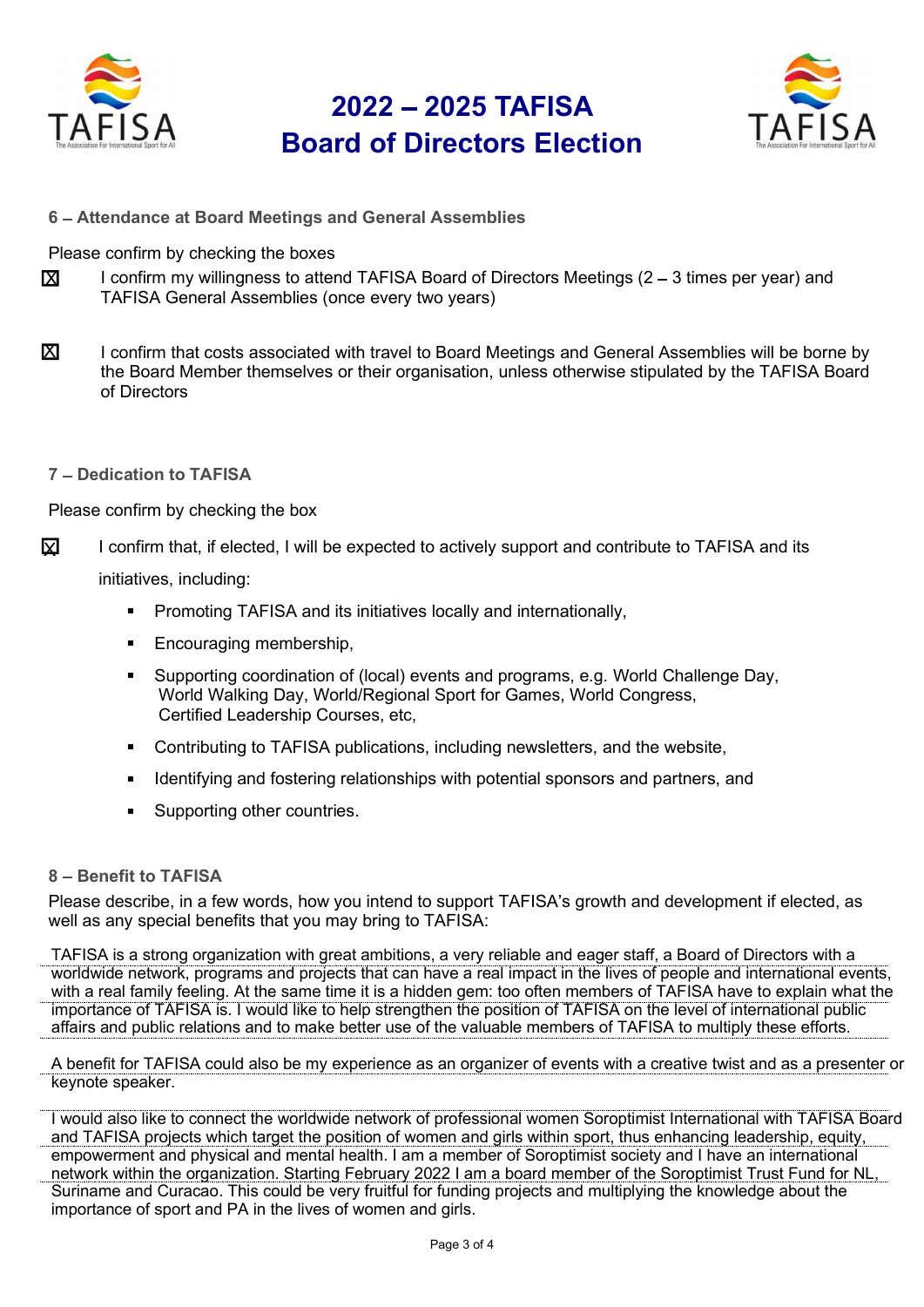

## 2022 – 2025 TAFISA<br>
rd of Directors Election<br>
Le result in the set of the set of the set of the set of the set of the set of the set of the set of the set o Board of Directors Election



6 - Attendance at Board Meetings and General Assemblies

Please confirm by checking the boxes

- $\boldsymbol{\Sigma}$  I confirm my willingness to attend TAFISA Board of Directors Meetings (2 3 times per year) and TAFISA General Assemblies (once every two years)
- $\boxtimes$  I confirm that costs associated with travel to Board Meetings and General Assemblies will be borne by the Board Member themselves or their organisation, unless otherwise stipulated by the TAFISA Board of Directors
- 7 Dedication to TAFISA

Please confirm by checking the box

I confirm that, if elected, I will be expected to actively support and contribute to TAFISA and its  $\mathbf x$ 

initiatives, including:

- **Promoting TAFISA and its initiatives locally and internationally,**
- **Encouraging membership,**
- Supporting coordination of (local) events and programs, e.g. World Challenge Day, World Walking Day, World/Regional Sport for Games, World Congress, Certified Leadership Courses, etc,
- Contributing to TAFISA publications, including newsletters, and the website,
- Identifying and fostering relationships with potential sponsors and partners, and
- Supporting other countries.

### 8 - Benefit to TAFISA

Please describe, in a few words, how you intend to support TAFISA's growth and development if elected, as well as any special benefits that you may bring to TAFISA:

TAFISA is a strong organization with great ambitions, a very reliable and eager staff, a Board of Directors with a worldwide network, programs and projects that can have a real impact in the lives of people and international events, with a real family feeling. At the same time it is a hidden gem: too often members of TAFISA have to explain what the importance of TAFISA is. I would like to help strengthen the position of TAFISA on the level of international public affairs and public relations and to make better use of the valuable members of TAFISA to multiply these efforts.

A benefit for TAFISA could also be my experience as an organizer of events with a creative twist and as a presenter or keynote speaker.

I would also like to connect the worldwide network of professional women Soroptimist International with TAFISA Board and TAFISA projects which target the position of women and girls within sport, thus enhancing leadership, equity, empowerment and physical and mental health. I am a member of Soroptimist society and I have an international network within the organization. Starting February 2022 I am a board member of the Soroptimist Trust Fund for NL, Suriname and Curacao. This could be very fruitful for funding projects and multiplying the knowledge about the importance of sport and PA in the lives of women and girls.